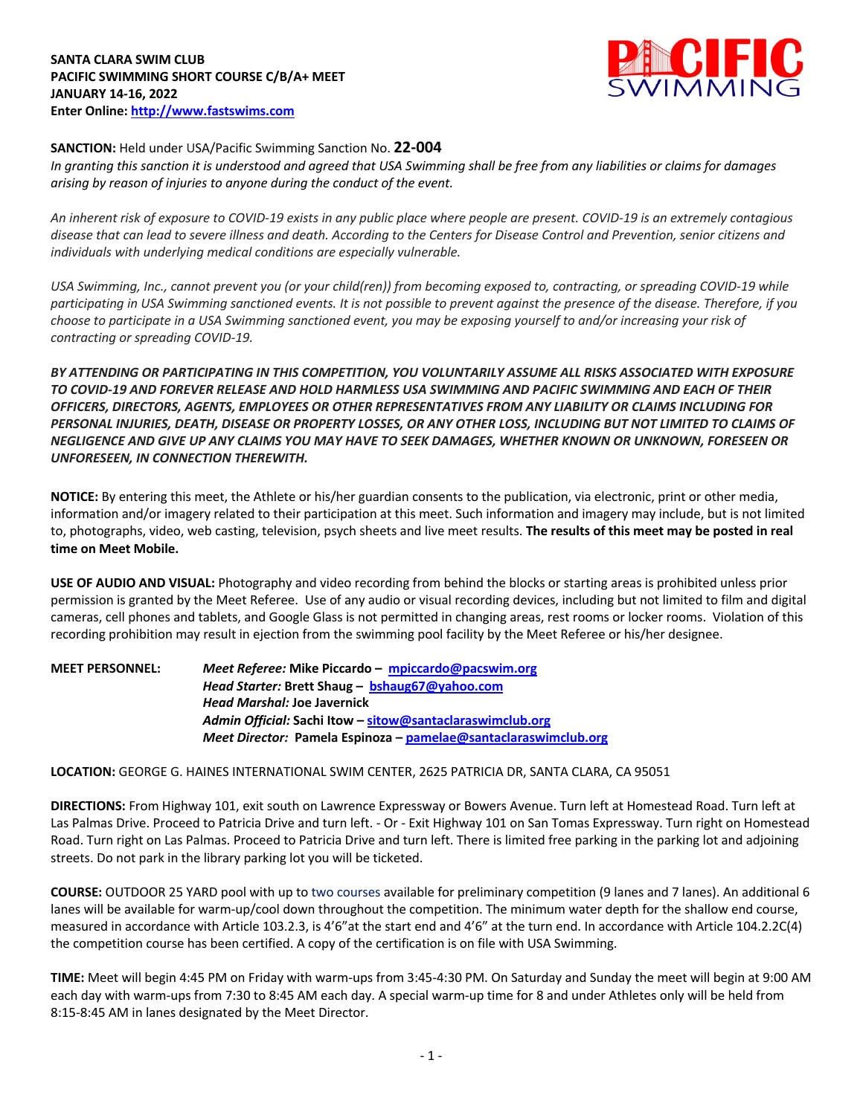

## **SANCTION:** Held under USA/Pacific Swimming Sanction No. **22-004**

*In granting this sanction it is understood and agreed that USA Swimming shall be free from any liabilities or claims for damages arising by reason of injuries to anyone during the conduct of the event.* 

*An inherent risk of exposure to COVID-19 exists in any public place where people are present. COVID-19 is an extremely contagious disease that can lead to severe illness and death. According to the Centers for Disease Control and Prevention, senior citizens and individuals with underlying medical conditions are especially vulnerable.*

*USA Swimming, Inc., cannot prevent you (or your child(ren)) from becoming exposed to, contracting, or spreading COVID-19 while participating in USA Swimming sanctioned events. It is not possible to prevent against the presence of the disease. Therefore, if you choose to participate in a USA Swimming sanctioned event, you may be exposing yourself to and/or increasing your risk of contracting or spreading COVID-19.*

*BY ATTENDING OR PARTICIPATING IN THIS COMPETITION, YOU VOLUNTARILY ASSUME ALL RISKS ASSOCIATED WITH EXPOSURE TO COVID-19 AND FOREVER RELEASE AND HOLD HARMLESS USA SWIMMING AND PACIFIC SWIMMING AND EACH OF THEIR OFFICERS, DIRECTORS, AGENTS, EMPLOYEES OR OTHER REPRESENTATIVES FROM ANY LIABILITY OR CLAIMS INCLUDING FOR PERSONAL INJURIES, DEATH, DISEASE OR PROPERTY LOSSES, OR ANY OTHER LOSS, INCLUDING BUT NOT LIMITED TO CLAIMS OF NEGLIGENCE AND GIVE UP ANY CLAIMS YOU MAY HAVE TO SEEK DAMAGES, WHETHER KNOWN OR UNKNOWN, FORESEEN OR UNFORESEEN, IN CONNECTION THEREWITH.*

**NOTICE:** By entering this meet, the Athlete or his/her guardian consents to the publication, via electronic, print or other media, information and/or imagery related to their participation at this meet. Such information and imagery may include, but is not limited to, photographs, video, web casting, television, psych sheets and live meet results. **The results of this meet may be posted in real time on Meet Mobile.**

**USE OF AUDIO AND VISUAL:** Photography and video recording from behind the blocks or starting areas is prohibited unless prior permission is granted by the Meet Referee. Use of any audio or visual recording devices, including but not limited to film and digital cameras, cell phones and tablets, and Google Glass is not permitted in changing areas, rest rooms or locker rooms. Violation of this recording prohibition may result in ejection from the swimming pool facility by the Meet Referee or his/her designee.

**MEET PERSONNEL:** *Meet Referee:* **Mike Piccardo – mpiccardo@pacswim.org** *Head Starter:* **Brett Shaug – bshaug67@yahoo.com** *Head Marshal:* **Joe Javernick** *Admin Official:* **Sachi Itow – sitow@santaclaraswimclub.org** *Meet Director:* **Pamela Espinoza – pamelae@santaclaraswimclub.org**

**LOCATION:** GEORGE G. HAINES INTERNATIONAL SWIM CENTER, 2625 PATRICIA DR, SANTA CLARA, CA 95051

**DIRECTIONS:** From Highway 101, exit south on Lawrence Expressway or Bowers Avenue. Turn left at Homestead Road. Turn left at Las Palmas Drive. Proceed to Patricia Drive and turn left. - Or - Exit Highway 101 on San Tomas Expressway. Turn right on Homestead Road. Turn right on Las Palmas. Proceed to Patricia Drive and turn left. There is limited free parking in the parking lot and adjoining streets. Do not park in the library parking lot you will be ticketed.

**COURSE:** OUTDOOR 25 YARD pool with up to two courses available for preliminary competition (9 lanes and 7 lanes). An additional 6 lanes will be available for warm-up/cool down throughout the competition. The minimum water depth for the shallow end course, measured in accordance with Article 103.2.3, is 4'6"at the start end and 4'6" at the turn end. In accordance with Article 104.2.2C(4) the competition course has been certified. A copy of the certification is on file with USA Swimming.

**TIME:** Meet will begin 4:45 PM on Friday with warm-ups from 3:45-4:30 PM. On Saturday and Sunday the meet will begin at 9:00 AM each day with warm-ups from 7:30 to 8:45 AM each day. A special warm-up time for 8 and under Athletes only will be held from 8:15-8:45 AM in lanes designated by the Meet Director.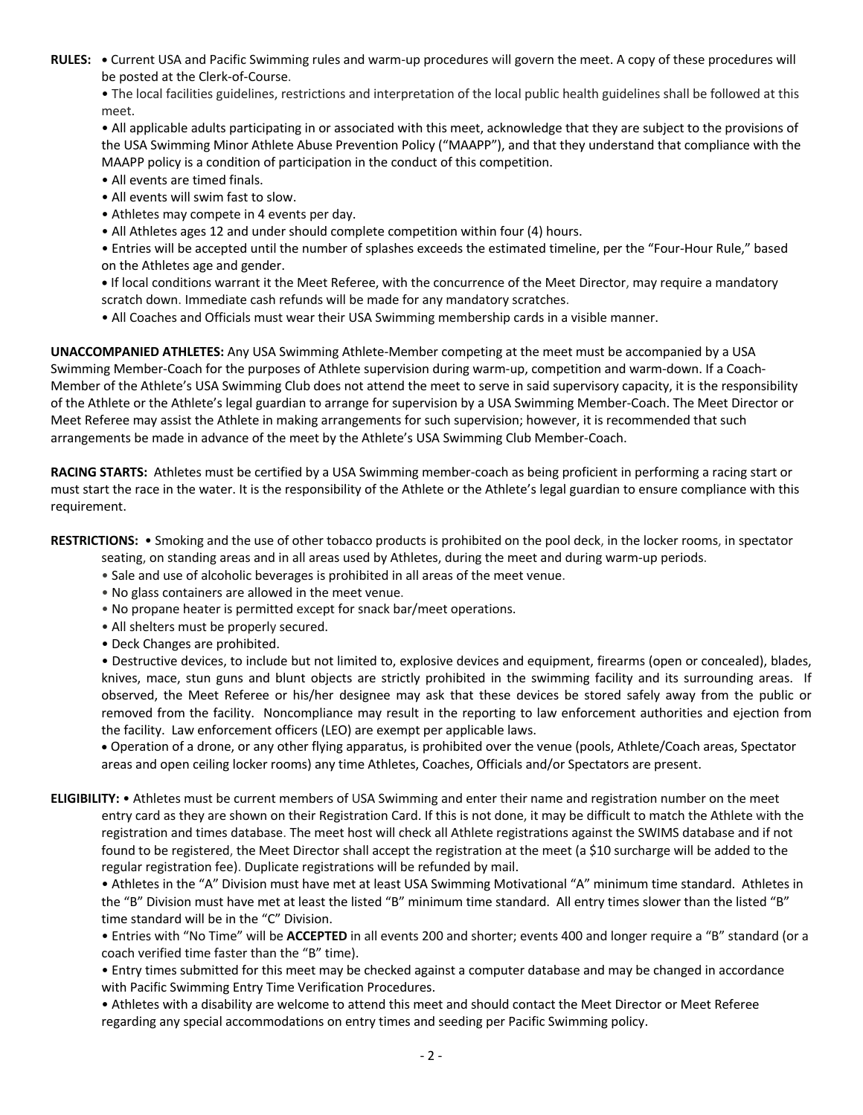**RULES: •** Current USA and Pacific Swimming rules and warm-up procedures will govern the meet. A copy of these procedures will be posted at the Clerk-of-Course.

• The local facilities guidelines, restrictions and interpretation of the local public health guidelines shall be followed at this meet.

• All applicable adults participating in or associated with this meet, acknowledge that they are subject to the provisions of the USA Swimming Minor Athlete Abuse Prevention Policy ("MAAPP"), and that they understand that compliance with the MAAPP policy is a condition of participation in the conduct of this competition.

- All events are timed finals.
- All events will swim fast to slow.
- Athletes may compete in 4 events per day.
- All Athletes ages 12 and under should complete competition within four (4) hours.

• Entries will be accepted until the number of splashes exceeds the estimated timeline, per the "Four-Hour Rule," based on the Athletes age and gender.

**•** If local conditions warrant it the Meet Referee, with the concurrence of the Meet Director, may require a mandatory scratch down. Immediate cash refunds will be made for any mandatory scratches.

• All Coaches and Officials must wear their USA Swimming membership cards in a visible manner.

**UNACCOMPANIED ATHLETES:** Any USA Swimming Athlete-Member competing at the meet must be accompanied by a USA Swimming Member-Coach for the purposes of Athlete supervision during warm-up, competition and warm-down. If a Coach-Member of the Athlete's USA Swimming Club does not attend the meet to serve in said supervisory capacity, it is the responsibility of the Athlete or the Athlete's legal guardian to arrange for supervision by a USA Swimming Member-Coach. The Meet Director or Meet Referee may assist the Athlete in making arrangements for such supervision; however, it is recommended that such arrangements be made in advance of the meet by the Athlete's USA Swimming Club Member-Coach.

**RACING STARTS:** Athletes must be certified by a USA Swimming member-coach as being proficient in performing a racing start or must start the race in the water. It is the responsibility of the Athlete or the Athlete's legal guardian to ensure compliance with this requirement.

**RESTRICTIONS:** • Smoking and the use of other tobacco products is prohibited on the pool deck, in the locker rooms, in spectator

seating, on standing areas and in all areas used by Athletes, during the meet and during warm-up periods.

- Sale and use of alcoholic beverages is prohibited in all areas of the meet venue.
- No glass containers are allowed in the meet venue.
- No propane heater is permitted except for snack bar/meet operations.
- All shelters must be properly secured.
- Deck Changes are prohibited.

• Destructive devices, to include but not limited to, explosive devices and equipment, firearms (open or concealed), blades, knives, mace, stun guns and blunt objects are strictly prohibited in the swimming facility and its surrounding areas. If observed, the Meet Referee or his/her designee may ask that these devices be stored safely away from the public or removed from the facility. Noncompliance may result in the reporting to law enforcement authorities and ejection from the facility. Law enforcement officers (LEO) are exempt per applicable laws.

• Operation of a drone, or any other flying apparatus, is prohibited over the venue (pools, Athlete/Coach areas, Spectator areas and open ceiling locker rooms) any time Athletes, Coaches, Officials and/or Spectators are present.

**ELIGIBILITY:** • Athletes must be current members of USA Swimming and enter their name and registration number on the meet entry card as they are shown on their Registration Card. If this is not done, it may be difficult to match the Athlete with the registration and times database. The meet host will check all Athlete registrations against the SWIMS database and if not found to be registered, the Meet Director shall accept the registration at the meet (a \$10 surcharge will be added to the regular registration fee). Duplicate registrations will be refunded by mail.

• Athletes in the "A" Division must have met at least USA Swimming Motivational "A" minimum time standard. Athletes in the "B" Division must have met at least the listed "B" minimum time standard. All entry times slower than the listed "B" time standard will be in the "C" Division.

• Entries with "No Time" will be **ACCEPTED** in all events 200 and shorter; events 400 and longer require a "B" standard (or a coach verified time faster than the "B" time).

• Entry times submitted for this meet may be checked against a computer database and may be changed in accordance with Pacific Swimming Entry Time Verification Procedures.

• Athletes with a disability are welcome to attend this meet and should contact the Meet Director or Meet Referee regarding any special accommodations on entry times and seeding per Pacific Swimming policy.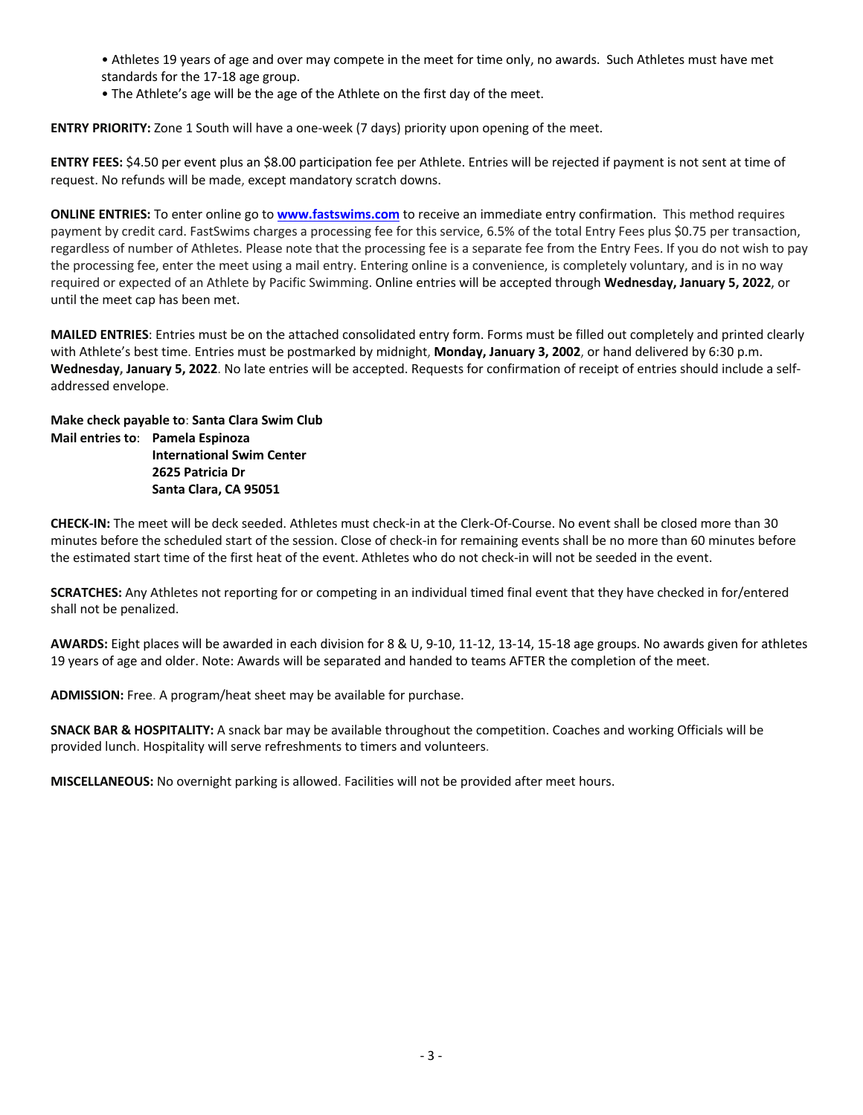• Athletes 19 years of age and over may compete in the meet for time only, no awards. Such Athletes must have met standards for the 17-18 age group.

• The Athlete's age will be the age of the Athlete on the first day of the meet.

**ENTRY PRIORITY:** Zone 1 South will have a one-week (7 days) priority upon opening of the meet.

**ENTRY FEES:** \$4.50 per event plus an \$8.00 participation fee per Athlete. Entries will be rejected if payment is not sent at time of request. No refunds will be made, except mandatory scratch downs.

**ONLINE ENTRIES:** To enter online go to **www.fastswims.com** to receive an immediate entry confirmation. This method requires payment by credit card. FastSwims charges a processing fee for this service, 6.5% of the total Entry Fees plus \$0.75 per transaction, regardless of number of Athletes. Please note that the processing fee is a separate fee from the Entry Fees. If you do not wish to pay the processing fee, enter the meet using a mail entry. Entering online is a convenience, is completely voluntary, and is in no way required or expected of an Athlete by Pacific Swimming. Online entries will be accepted through **Wednesday, January 5, 2022**, or until the meet cap has been met.

**MAILED ENTRIES**: Entries must be on the attached consolidated entry form. Forms must be filled out completely and printed clearly with Athlete's best time. Entries must be postmarked by midnight, **Monday, January 3, 2002**, or hand delivered by 6:30 p.m. **Wednesday, January 5, 2022**. No late entries will be accepted. Requests for confirmation of receipt of entries should include a selfaddressed envelope.

**Make check payable to**: **Santa Clara Swim Club Mail entries to**: **Pamela Espinoza International Swim Center 2625 Patricia Dr Santa Clara, CA 95051**

**CHECK-IN:** The meet will be deck seeded. Athletes must check-in at the Clerk-Of-Course. No event shall be closed more than 30 minutes before the scheduled start of the session. Close of check-in for remaining events shall be no more than 60 minutes before the estimated start time of the first heat of the event. Athletes who do not check-in will not be seeded in the event.

**SCRATCHES:** Any Athletes not reporting for or competing in an individual timed final event that they have checked in for/entered shall not be penalized.

**AWARDS:** Eight places will be awarded in each division for 8 & U, 9-10, 11-12, 13-14, 15-18 age groups. No awards given for athletes 19 years of age and older. Note: Awards will be separated and handed to teams AFTER the completion of the meet.

**ADMISSION:** Free. A program/heat sheet may be available for purchase.

**SNACK BAR & HOSPITALITY:** A snack bar may be available throughout the competition. Coaches and working Officials will be provided lunch. Hospitality will serve refreshments to timers and volunteers.

**MISCELLANEOUS:** No overnight parking is allowed. Facilities will not be provided after meet hours.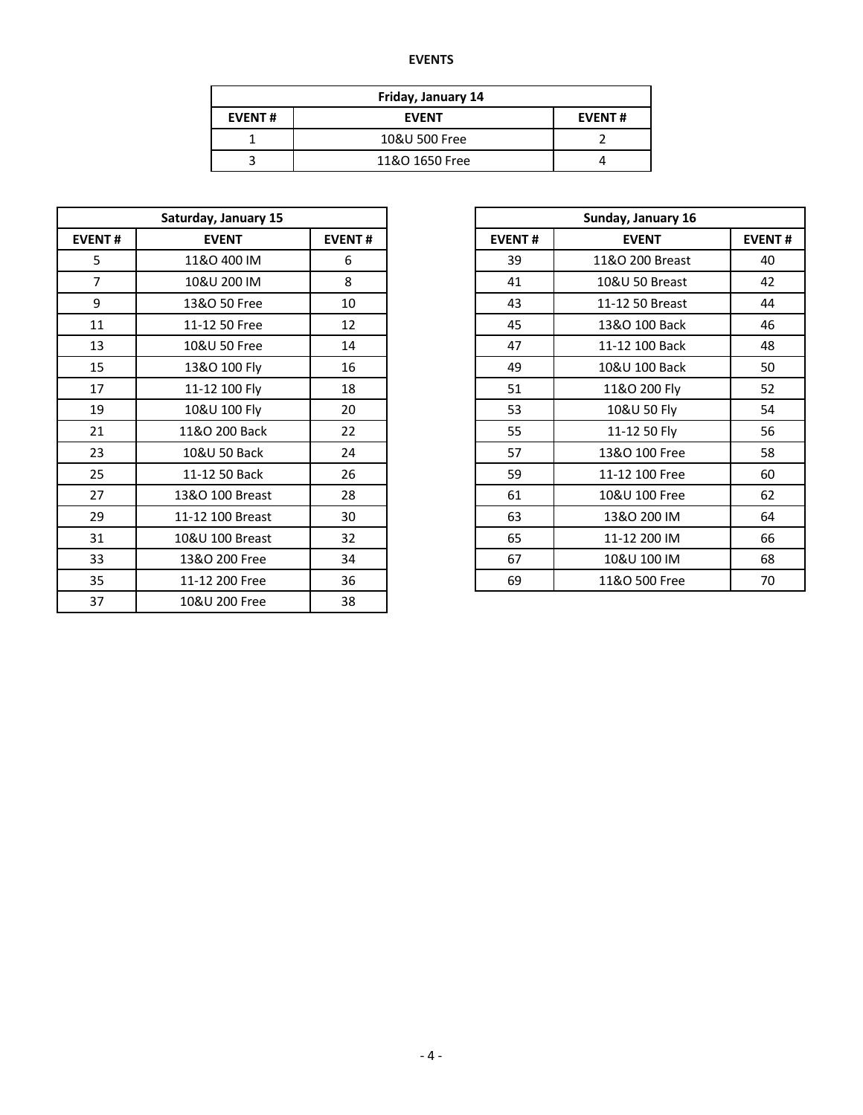## **EVENTS**

| Friday, January 14 |                |  |  |  |  |  |
|--------------------|----------------|--|--|--|--|--|
| <b>EVENT#</b>      | <b>EVENT</b>   |  |  |  |  |  |
|                    | 10&U 500 Free  |  |  |  |  |  |
|                    | 11&O 1650 Free |  |  |  |  |  |

| <b>EVENT#</b><br><b>EVENT</b><br>5<br>11&O 400 IM<br>39<br>6<br>$\overline{7}$<br>10&U 200 IM<br>8<br>41<br>9<br>13&O 50 Free<br>43<br>10<br>45<br>11<br>11-12 50 Free<br>12<br>13<br>10&U 50 Free<br>14<br>47<br>15<br>13&O 100 Fly<br>49<br>16<br>17<br>11-12 100 Fly<br>18<br>51<br>19<br>10&U 100 Fly<br>20<br>53<br>21<br>11&O 200 Back<br>22<br>55<br>23<br>10&U 50 Back<br>24<br>57<br>25<br>59<br>11-12 50 Back<br>26<br>27<br>13&O 100 Breast<br>28<br>61<br>29<br>11-12 100 Breast<br>30<br>63<br>31<br>32<br>65<br>10&U 100 Breast<br>33<br>13&O 200 Free<br>34<br>67<br>35<br>69<br>11-12 200 Free<br>36<br>37<br>38<br>10&U 200 Free | Saturday, January 15 |  |  |               |
|---------------------------------------------------------------------------------------------------------------------------------------------------------------------------------------------------------------------------------------------------------------------------------------------------------------------------------------------------------------------------------------------------------------------------------------------------------------------------------------------------------------------------------------------------------------------------------------------------------------------------------------------------|----------------------|--|--|---------------|
|                                                                                                                                                                                                                                                                                                                                                                                                                                                                                                                                                                                                                                                   | <b>EVENT#</b>        |  |  | <b>EVENT#</b> |
|                                                                                                                                                                                                                                                                                                                                                                                                                                                                                                                                                                                                                                                   |                      |  |  |               |
|                                                                                                                                                                                                                                                                                                                                                                                                                                                                                                                                                                                                                                                   |                      |  |  |               |
|                                                                                                                                                                                                                                                                                                                                                                                                                                                                                                                                                                                                                                                   |                      |  |  |               |
|                                                                                                                                                                                                                                                                                                                                                                                                                                                                                                                                                                                                                                                   |                      |  |  |               |
|                                                                                                                                                                                                                                                                                                                                                                                                                                                                                                                                                                                                                                                   |                      |  |  |               |
|                                                                                                                                                                                                                                                                                                                                                                                                                                                                                                                                                                                                                                                   |                      |  |  |               |
|                                                                                                                                                                                                                                                                                                                                                                                                                                                                                                                                                                                                                                                   |                      |  |  |               |
|                                                                                                                                                                                                                                                                                                                                                                                                                                                                                                                                                                                                                                                   |                      |  |  |               |
|                                                                                                                                                                                                                                                                                                                                                                                                                                                                                                                                                                                                                                                   |                      |  |  |               |
|                                                                                                                                                                                                                                                                                                                                                                                                                                                                                                                                                                                                                                                   |                      |  |  |               |
|                                                                                                                                                                                                                                                                                                                                                                                                                                                                                                                                                                                                                                                   |                      |  |  |               |
|                                                                                                                                                                                                                                                                                                                                                                                                                                                                                                                                                                                                                                                   |                      |  |  |               |
|                                                                                                                                                                                                                                                                                                                                                                                                                                                                                                                                                                                                                                                   |                      |  |  |               |
|                                                                                                                                                                                                                                                                                                                                                                                                                                                                                                                                                                                                                                                   |                      |  |  |               |
|                                                                                                                                                                                                                                                                                                                                                                                                                                                                                                                                                                                                                                                   |                      |  |  |               |
|                                                                                                                                                                                                                                                                                                                                                                                                                                                                                                                                                                                                                                                   |                      |  |  |               |
|                                                                                                                                                                                                                                                                                                                                                                                                                                                                                                                                                                                                                                                   |                      |  |  |               |

| Saturday, January 15 |                  |               |               | Sunday, January 16 |               |
|----------------------|------------------|---------------|---------------|--------------------|---------------|
| <b>EVENT#</b>        | <b>EVENT</b>     | <b>EVENT#</b> | <b>EVENT#</b> | <b>EVENT</b>       | <b>EVENT#</b> |
| 5                    | 11&O 400 IM      | 6             | 39            | 11&O 200 Breast    | 40            |
| 7                    | 10&U 200 IM      | 8             | 41            | 10&U 50 Breast     | 42            |
| 9                    | 13&O 50 Free     | 10            | 43            | 11-12 50 Breast    | 44            |
| 11                   | 11-12 50 Free    | 12            | 45            | 13&O 100 Back      | 46            |
| 13                   | 10&U 50 Free     | 14            | 47            | 11-12 100 Back     | 48            |
| 15                   | 13&O 100 Fly     | 16            | 49            | 10&U 100 Back      | 50            |
| 17                   | 11-12 100 Fly    | 18            | 51            | 11&O 200 Fly       | 52            |
| 19                   | 10&U 100 Fly     | 20            | 53            | 10&U 50 Fly        | 54            |
| 21                   | 11&O 200 Back    | 22            | 55            | 11-12 50 Fly       | 56            |
| 23                   | 10&U 50 Back     | 24            | 57            | 13&O 100 Free      | 58            |
| 25                   | 11-12 50 Back    | 26            | 59            | 11-12 100 Free     | 60            |
| 27                   | 13&O 100 Breast  | 28            | 61            | 10&U 100 Free      | 62            |
| 29                   | 11-12 100 Breast | 30            | 63            | 13&O 200 IM        | 64            |
| 31                   | 10&U 100 Breast  | 32            | 65            | 11-12 200 IM       | 66            |
| 33                   | 13&O 200 Free    | 34            | 67            | 10&U 100 IM        | 68            |
| 35                   | 11-12 200 Free   | 36            | 69            | 11&O 500 Free      | 70            |